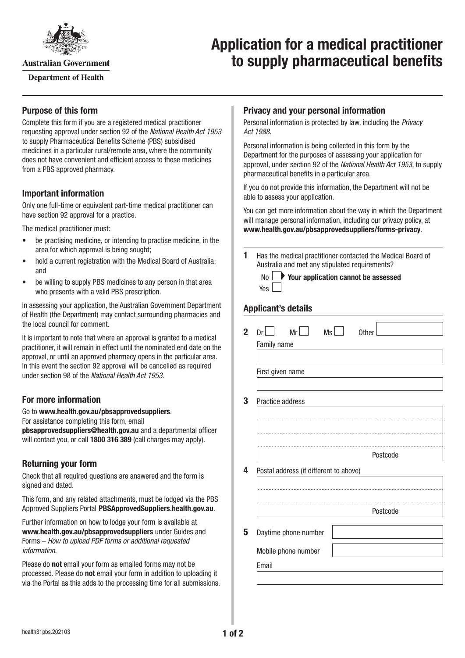

**Australian Government** 

**Department of Health** 

# **Application for a medical practitioner to supply pharmaceutical benefits**

## **Purpose of this form**

Complete this form if you are a registered medical practitioner requesting approval under section 92 of the *National Health Act 1953* to supply Pharmaceutical Benefits Scheme (PBS) subsidised medicines in a particular rural/remote area, where the community does not have convenient and efficient access to these medicines from a PBS approved pharmacy.

#### **Important information**

Only one full-time or equivalent part-time medical practitioner can have section 92 approval for a practice.

The medical practitioner must:

- be practising medicine, or intending to practise medicine, in the area for which approval is being sought;
- hold a current registration with the Medical Board of Australia; and
- be willing to supply PBS medicines to any person in that area who presents with a valid PBS prescription.

In assessing your application, the Australian Government Department of Health (the Department) may contact surrounding pharmacies and the local council for comment.

It is important to note that where an approval is granted to a medical practitioner, it will remain in effect until the nominated end date on the approval, or until an approved pharmacy opens in the particular area. In this event the section 92 approval will be cancelled as required under section 98 of the *National Health Act 1953*.

## **For more information**

#### Go to **[www.health.gov.au/pbsapprovedsuppliers](http://www.health.gov.au/pbsapprovedsuppliers)**.

For assistance completing this form, email

**[pbsapprovedsuppliers@health.gov.au](mailto:pbsapprovedsuppliers@health.gov.au)** and a departmental officer will contact you, or call **1800 316 389** (call charges may apply).

#### **Returning your form**

Check that all required questions are answered and the form is signed and dated.

This form, and any related attachments, must be lodged via the PBS Approved Suppliers Portal [PBSApprovedSuppliers.health.gov.au](https://pbsapprovedsuppliers.health.gov.au/).

Further information on how to lodge your form is available at **[www.health.gov.au/pbsapprovedsuppliers](http://www.health.gov.au/pbsapprovedsuppliers)** under Guides and Forms – *How to upload PDF forms or additional requested information*.

Please do **not** email your form as emailed forms may not be processed. Please do **not** email your form in addition to uploading it via the Portal as this adds to the processing time for all submissions.

#### **Privacy and your personal information**

Personal information is protected by law, including the *Privacy Act 1988.*

Personal information is being collected in this form by the Department for the purposes of assessing your application for approval, under section 92 of the *National Health Act 1953,* to supply pharmaceutical benefits in a particular area.

If you do not provide this information, the Department will not be able to assess your application.

You can get more information about the way in which the Department will manage personal information, including our privacy policy, at **[www.health.gov.au/pbsapprovedsuppliers/forms-privacy](http://www.health.gov.au/pbsapprovedsuppliers/forms-privacy)**.

**1** Has the medical practitioner contacted the Medical Board of Australia and met any stipulated requirements?

|            | $\mathsf{No}$ Your application cannot be assessed |  |
|------------|---------------------------------------------------|--|
| Yes $\Box$ |                                                   |  |

## **Applicant's details**

| 2 <sup>1</sup> | Mr <sub>l</sub><br>Ms<br>Dr            | <b>Other</b> |          |
|----------------|----------------------------------------|--------------|----------|
|                | Family name                            |              |          |
|                |                                        |              |          |
|                | First given name                       |              |          |
|                |                                        |              |          |
| 3              | Practice address                       |              |          |
|                |                                        |              |          |
|                |                                        |              |          |
|                |                                        |              |          |
|                |                                        |              | Postcode |
| 4              | Postal address (if different to above) |              |          |
|                |                                        |              |          |
|                |                                        |              |          |
|                |                                        |              | Postcode |
| 5              | Daytime phone number                   |              |          |
|                | Mobile phone number                    |              |          |
|                | Email                                  |              |          |
|                |                                        |              |          |